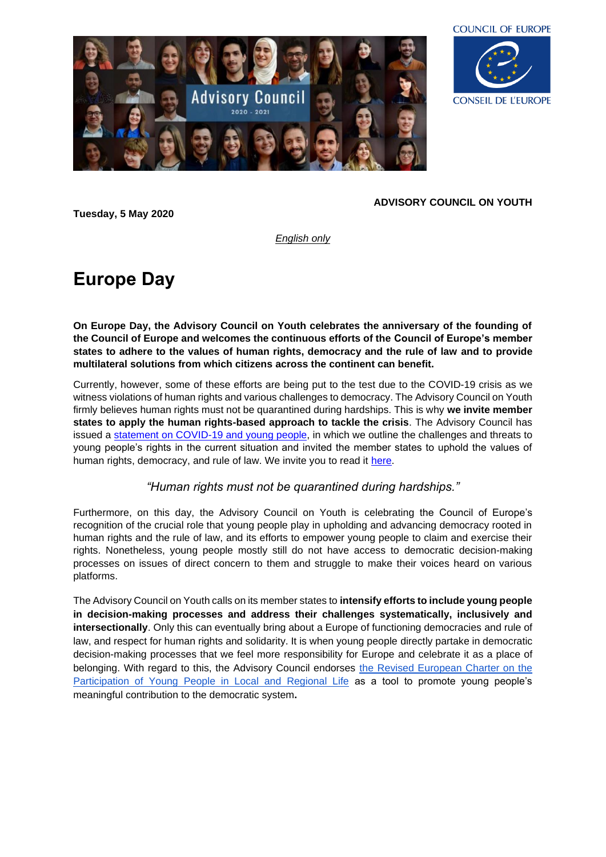



**Tuesday, 5 May 2020**

## **ADVISORY COUNCIL ON YOUTH**

*English only*

## **Europe Day**

**On Europe Day, the Advisory Council on Youth celebrates the anniversary of the founding of the Council of Europe and welcomes the continuous efforts of the Council of Europe's member states to adhere to the values of human rights, democracy and the rule of law and to provide multilateral solutions from which citizens across the continent can benefit.** 

Currently, however, some of these efforts are being put to the test due to the COVID-19 crisis as we witness violations of human rights and various challenges to democracy. The Advisory Council on Youth firmly believes human rights must not be quarantined during hardships. This is why **we invite member states to apply the human rights-based approach to tackle the crisis**. The Advisory Council has issued a [statement on COVID-19 and young people,](https://www.coe.int/en/web/youth/-/the-advisory-council-on-youth-calls-on-member-states-to-protect-young-people-s-human-rights-during-the-covid-19-pandemic) in which we outline the challenges and threats to young people's rights in the current situation and invited the member states to uphold the values of human rights, democracy, and rule of law. We invite you to read it [here.](https://www.coe.int/en/web/youth/-/the-advisory-council-on-youth-calls-on-member-states-to-protect-young-people-s-human-rights-during-the-covid-19-pandemic)

## *"Human rights must not be quarantined during hardships."*

Furthermore, on this day, the Advisory Council on Youth is celebrating the Council of Europe's recognition of the crucial role that young people play in upholding and advancing democracy rooted in human rights and the rule of law, and its efforts to empower young people to claim and exercise their rights. Nonetheless, young people mostly still do not have access to democratic decision-making processes on issues of direct concern to them and struggle to make their voices heard on various platforms.

The Advisory Council on Youth calls on its member states to **intensify efforts to include young people in decision-making processes and address their challenges systematically, inclusively and intersectionally**. Only this can eventually bring about a Europe of functioning democracies and rule of law, and respect for human rights and solidarity. It is when young people directly partake in democratic decision-making processes that we feel more responsibility for Europe and celebrate it as a place of belonging. With regard to this, the Advisory Council endorses the Revised European Charter on the [Participation of Young People in Local and Regional Life](https://www.coe.int/en/web/youth/-/revised-european-charter-on-the-participation-of-young-people-in-local-and-regional-life) as a tool to promote young people's meaningful contribution to the democratic system**.**